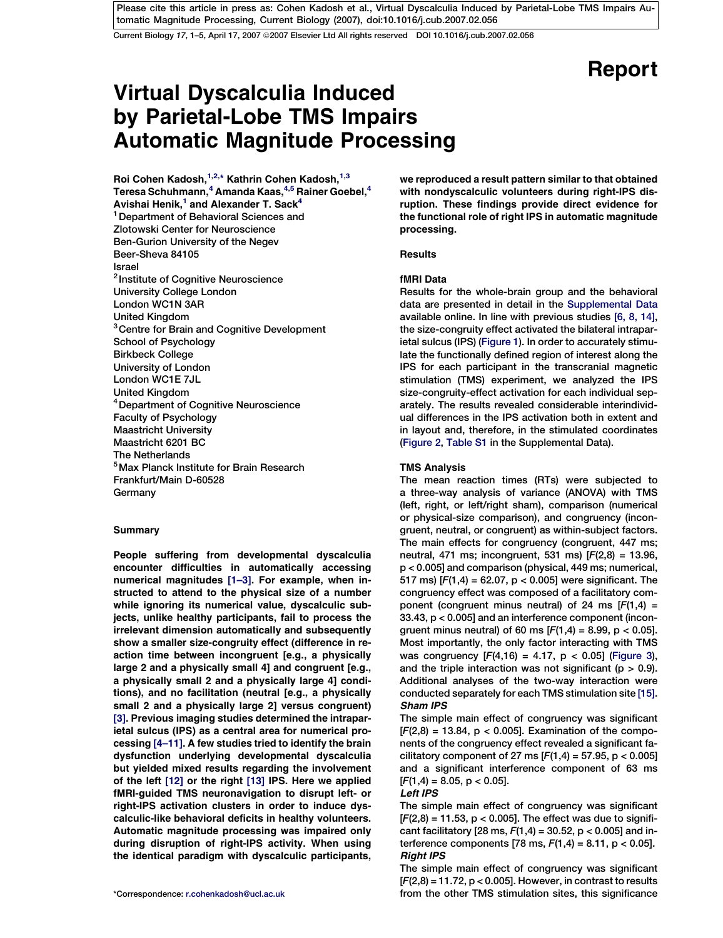Current Biology 17, 1-5, April 17, 2007 @2007 Elsevier Ltd All rights reserved DOI 10.1016/j.cub.2007.02.056

# Report

# Virtual Dyscalculia Induced by Parietal-Lobe TMS Impairs Automatic Magnitude Processing

Roi Cohen Kadosh, 1,2,\* Kathrin Cohen Kadosh, 1,3 Teresa Schuhmann,<sup>4</sup> Amanda Kaas,<sup>4,5</sup> Rainer Goebel,<sup>4</sup> Avishai Henik, $1$  and Alexander T. Sack $4$ <sup>1</sup> Department of Behavioral Sciences and Zlotowski Center for Neuroscience Ben-Gurion University of the Negev Beer-Sheva 84105 Israel <sup>2</sup> Institute of Cognitive Neuroscience University College London London WC1N 3AR United Kingdom <sup>3</sup> Centre for Brain and Cognitive Development School of Psychology Birkbeck College University of London London WC1E 7JL United Kingdom 4Department of Cognitive Neuroscience Faculty of Psychology Maastricht University Maastricht 6201 BC The Netherlands 5Max Planck Institute for Brain Research Frankfurt/Main D-60528 **Germany** 

## **Summary**

People suffering from developmental dyscalculia encounter difficulties in automatically accessing numerical magnitudes [\[1–3\].](#page-3-0) For example, when instructed to attend to the physical size of a number while ignoring its numerical value, dyscalculic subjects, unlike healthy participants, fail to process the irrelevant dimension automatically and subsequently show a smaller size-congruity effect (difference in reaction time between incongruent [e.g., a physically large 2 and a physically small 4] and congruent [e.g., a physically small 2 and a physically large 4] conditions), and no facilitation (neutral [e.g., a physically small 2 and a physically large 2] versus congruent) [\[3\].](#page-3-0) Previous imaging studies determined the intraparietal sulcus (IPS) as a central area for numerical processing [\[4–11\]](#page-4-0). A few studies tried to identify the brain dysfunction underlying developmental dyscalculia but yielded mixed results regarding the involvement of the left [\[12\]](#page-4-0) or the right [\[13\]](#page-4-0) IPS. Here we applied fMRI-guided TMS neuronavigation to disrupt left- or right-IPS activation clusters in order to induce dyscalculic-like behavioral deficits in healthy volunteers. Automatic magnitude processing was impaired only during disruption of right-IPS activity. When using the identical paradigm with dyscalculic participants,

we reproduced a result pattern similar to that obtained with nondyscalculic volunteers during right-IPS disruption. These findings provide direct evidence for the functional role of right IPS in automatic magnitude processing.

## **Results**

## fMRI Data

Results for the whole-brain group and the behavioral data are presented in detail in the [Supplemental Data](#page-3-0) available online. In line with previous studies [\[6, 8, 14\],](#page-4-0) the size-congruity effect activated the bilateral intraparietal sulcus (IPS) ([Figure 1](#page-1-0)). In order to accurately stimulate the functionally defined region of interest along the IPS for each participant in the transcranial magnetic stimulation (TMS) experiment, we analyzed the IPS size-congruity-effect activation for each individual separately. The results revealed considerable interindividual differences in the IPS activation both in extent and in layout and, therefore, in the stimulated coordinates [\(Figure 2,](#page-2-0) [Table S1](#page-3-0) in the Supplemental Data).

## TMS Analysis

The mean reaction times (RTs) were subjected to a three-way analysis of variance (ANOVA) with TMS (left, right, or left/right sham), comparison (numerical or physical-size comparison), and congruency (incongruent, neutral, or congruent) as within-subject factors. The main effects for congruency (congruent, 447 ms; neutral, 471 ms; incongruent, 531 ms) [F(2,8) = 13.96, p < 0.005] and comparison (physical, 449 ms; numerical, 517 ms)  $[F(1,4) = 62.07, p < 0.005]$  were significant. The congruency effect was composed of a facilitatory component (congruent minus neutral) of 24 ms  $[F(1,4) =$ 33.43, p < 0.005] and an interference component (incongruent minus neutral) of 60 ms  $[F(1,4) = 8.99, p < 0.05]$ . Most importantly, the only factor interacting with TMS was congruency  $[F(4,16) = 4.17, p < 0.05]$  [\(Figure 3](#page-2-0)), and the triple interaction was not significant ( $p > 0.9$ ). Additional analyses of the two-way interaction were conducted separately for each TMS stimulation site [\[15\].](#page-4-0) Sham IPS

The simple main effect of congruency was significant  $[F(2,8) = 13.84, p < 0.005]$ . Examination of the components of the congruency effect revealed a significant facilitatory component of 27 ms  $[F(1,4) = 57.95, p < 0.005]$ and a significant interference component of 63 ms  $[F(1,4) = 8.05, p < 0.05].$ 

## Left IPS

The simple main effect of congruency was significant  $[F(2,8) = 11.53, p < 0.005]$ . The effect was due to significant facilitatory [28 ms,  $F(1,4) = 30.52$ , p < 0.005] and interference components [78 ms,  $F(1,4) = 8.11$ ,  $p < 0.05$ ]. Right IPS

The simple main effect of congruency was significant  $[F(2,8) = 11.72, p < 0.005]$ . However, in contrast to results \*Correspondence: [r.cohenkadosh@ucl.ac.uk](mailto:r.cohenkadosh@ucl.ac.uk) from the other TMS stimulation sites, this significance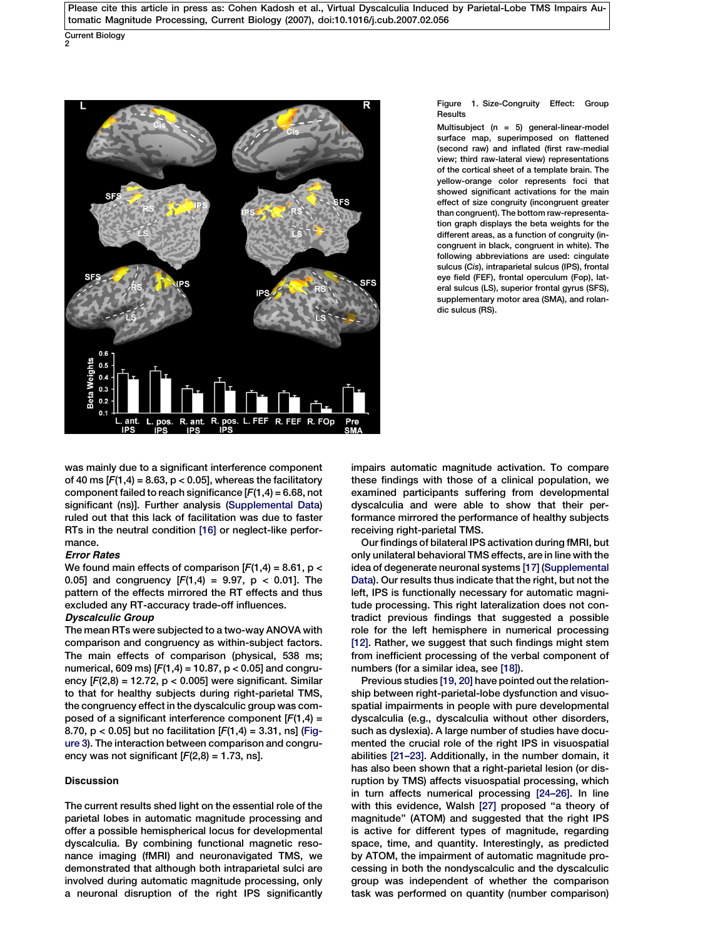<span id="page-1-0"></span>Current Biology 2



#### Figure 1. Size-Congruity Effect: Group Results

Multisubject  $(n = 5)$  general-linear-model surface map, superimposed on flattened (second raw) and inflated (first raw-medial view; third raw-lateral view) representations of the cortical sheet of a template brain. The yellow-orange color represents foci that showed significant activations for the main effect of size congruity (incongruent greater than congruent). The bottom raw-representation graph displays the beta weights for the different areas, as a function of congruity (incongruent in black, congruent in white). The following abbreviations are used: cingulate sulcus (Cis), intraparietal sulcus (IPS), frontal eye field (FEF), frontal operculum (Fop), lateral sulcus (LS), superior frontal gyrus (SFS), supplementary motor area (SMA), and rolandic sulcus (RS).

was mainly due to a significant interference component of 40 ms  $[F(1,4) = 8.63, p < 0.05]$ , whereas the facilitatory component failed to reach significance  $[F(1,4) = 6.68, not$ significant (ns)]. Further analysis ([Supplemental Data\)](#page-3-0) ruled out that this lack of facilitation was due to faster RTs in the neutral condition [\[16\]](#page-4-0) or neglect-like performance.

## Error Rates

We found main effects of comparison  $[F(1,4) = 8.61, p <$ 0.05] and congruency  $[F(1,4) = 9.97, p < 0.01]$ . The pattern of the effects mirrored the RT effects and thus excluded any RT-accuracy trade-off influences.

## Dyscalculic Group

The mean RTs were subjected to a two-way ANOVA with comparison and congruency as within-subject factors. The main effects of comparison (physical, 538 ms; numerical, 609 ms)  $[F(1,4) = 10.87, p < 0.05]$  and congruency  $[F(2,8) = 12.72, p < 0.005]$  were significant. Similar to that for healthy subjects during right-parietal TMS, the congruency effect in the dyscalculic group was composed of a significant interference component  $[F(1,4) =$ 8.70,  $p < 0.05$ ] but no facilitation  $[F(1,4) = 3.31, ns]$  ([Fig](#page-2-0)[ure 3\)](#page-2-0). The interaction between comparison and congruency was not significant  $[F(2,8) = 1.73,$  ns].

## Discussion

The current results shed light on the essential role of the parietal lobes in automatic magnitude processing and offer a possible hemispherical locus for developmental dyscalculia. By combining functional magnetic resonance imaging (fMRI) and neuronavigated TMS, we demonstrated that although both intraparietal sulci are involved during automatic magnitude processing, only a neuronal disruption of the right IPS significantly

impairs automatic magnitude activation. To compare these findings with those of a clinical population, we examined participants suffering from developmental dyscalculia and were able to show that their performance mirrored the performance of healthy subjects receiving right-parietal TMS.

Our findings of bilateral IPS activation during fMRI, but only unilateral behavioral TMS effects, are in line with the idea of degenerate neuronal systems [\[17\]](#page-4-0) [\(Supplemental](#page-3-0) [Data](#page-3-0)). Our results thus indicate that the right, but not the left, IPS is functionally necessary for automatic magnitude processing. This right lateralization does not contradict previous findings that suggested a possible role for the left hemisphere in numerical processing [\[12\]](#page-4-0). Rather, we suggest that such findings might stem from inefficient processing of the verbal component of numbers (for a similar idea, see [\[18\]](#page-4-0)).

Previous studies [\[19, 20\]](#page-4-0) have pointed out the relationship between right-parietal-lobe dysfunction and visuospatial impairments in people with pure developmental dyscalculia (e.g., dyscalculia without other disorders, such as dyslexia). A large number of studies have documented the crucial role of the right IPS in visuospatial abilities [\[21–23\].](#page-4-0) Additionally, in the number domain, it has also been shown that a right-parietal lesion (or disruption by TMS) affects visuospatial processing, which in turn affects numerical processing [\[24–26\]](#page-4-0). In line with this evidence, Walsh [\[27\]](#page-4-0) proposed ''a theory of magnitude'' (ATOM) and suggested that the right IPS is active for different types of magnitude, regarding space, time, and quantity. Interestingly, as predicted by ATOM, the impairment of automatic magnitude processing in both the nondyscalculic and the dyscalculic group was independent of whether the comparison task was performed on quantity (number comparison)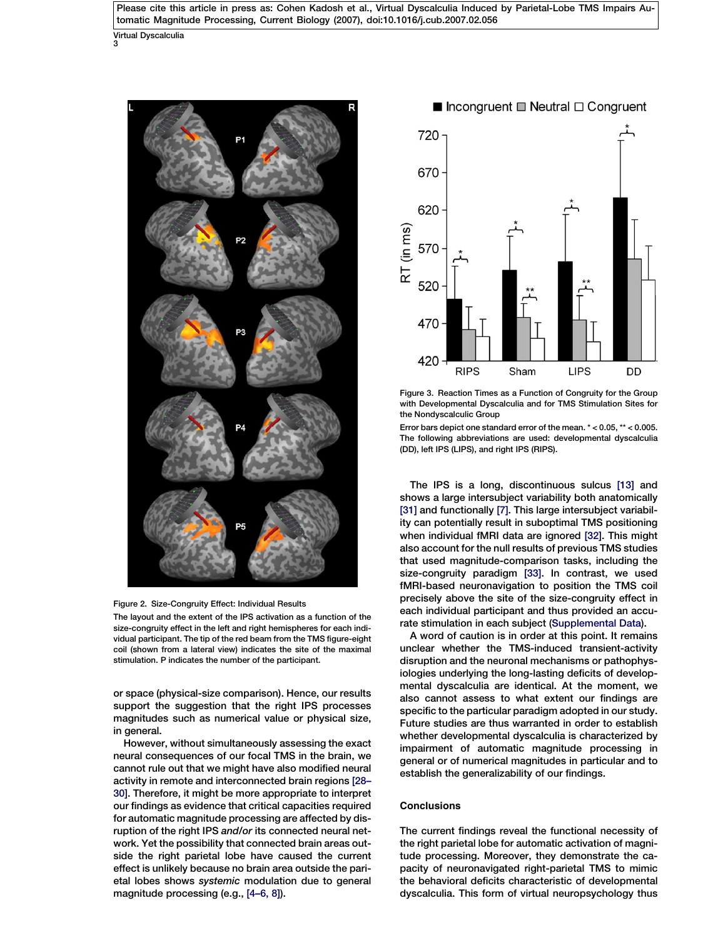<span id="page-2-0"></span>Virtual Dyscalculia 3



Figure 2. Size-Congruity Effect: Individual Results

The layout and the extent of the IPS activation as a function of the size-congruity effect in the left and right hemispheres for each individual participant. The tip of the red beam from the TMS figure-eight coil (shown from a lateral view) indicates the site of the maximal stimulation. P indicates the number of the participant.

or space (physical-size comparison). Hence, our results support the suggestion that the right IPS processes magnitudes such as numerical value or physical size, in general.

However, without simultaneously assessing the exact neural consequences of our focal TMS in the brain, we cannot rule out that we might have also modified neural activity in remote and interconnected brain regions [\[28–](#page-4-0) [30\].](#page-4-0) Therefore, it might be more appropriate to interpret our findings as evidence that critical capacities required for automatic magnitude processing are affected by disruption of the right IPS and/or its connected neural network. Yet the possibility that connected brain areas outside the right parietal lobe have caused the current effect is unlikely because no brain area outside the parietal lobes shows systemic modulation due to general magnitude processing (e.g., [\[4–6, 8\]\)](#page-4-0).



Figure 3. Reaction Times as a Function of Congruity for the Group with Developmental Dyscalculia and for TMS Stimulation Sites for the Nondyscalculic Group

Error bars depict one standard error of the mean. \* < 0.05, \*\* < 0.005. The following abbreviations are used: developmental dyscalculia (DD), left IPS (LIPS), and right IPS (RIPS).

The IPS is a long, discontinuous sulcus [\[13\]](#page-4-0) and shows a large intersubject variability both anatomically [\[31\]](#page-4-0) and functionally [\[7\]](#page-4-0). This large intersubject variability can potentially result in suboptimal TMS positioning when individual fMRI data are ignored [\[32\]](#page-4-0). This might also account for the null results of previous TMS studies that used magnitude-comparison tasks, including the size-congruity paradigm [\[33\].](#page-4-0) In contrast, we used fMRI-based neuronavigation to position the TMS coil precisely above the site of the size-congruity effect in each individual participant and thus provided an accurate stimulation in each subject ([Supplemental Data](#page-3-0)).

A word of caution is in order at this point. It remains unclear whether the TMS-induced transient-activity disruption and the neuronal mechanisms or pathophysiologies underlying the long-lasting deficits of developmental dyscalculia are identical. At the moment, we also cannot assess to what extent our findings are specific to the particular paradigm adopted in our study. Future studies are thus warranted in order to establish whether developmental dyscalculia is characterized by impairment of automatic magnitude processing in general or of numerical magnitudes in particular and to establish the generalizability of our findings.

## **Conclusions**

The current findings reveal the functional necessity of the right parietal lobe for automatic activation of magnitude processing. Moreover, they demonstrate the capacity of neuronavigated right-parietal TMS to mimic the behavioral deficits characteristic of developmental dyscalculia. This form of virtual neuropsychology thus

## ■ Incongruent ■ Neutral  $\Box$  Congruent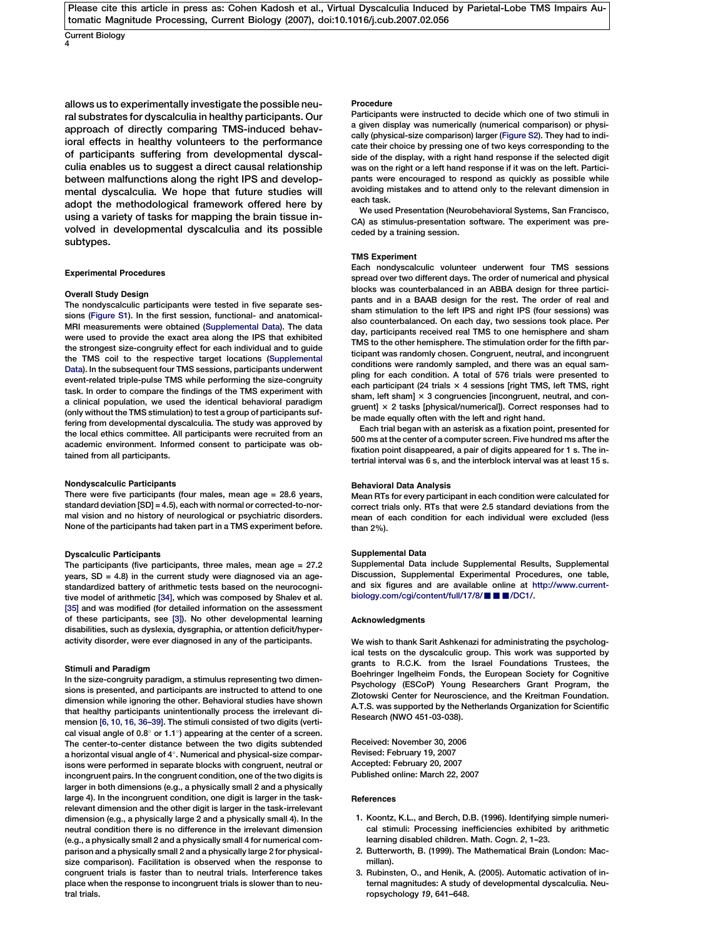<span id="page-3-0"></span>Current Biology 4

allows us to experimentally investigate the possible neural substrates for dyscalculia in healthy participants. Our approach of directly comparing TMS-induced behavioral effects in healthy volunteers to the performance of participants suffering from developmental dyscalculia enables us to suggest a direct causal relationship between malfunctions along the right IPS and developmental dyscalculia. We hope that future studies will adopt the methodological framework offered here by using a variety of tasks for mapping the brain tissue involved in developmental dyscalculia and its possible subtypes.

#### Experimental Procedures

#### Overall Study Design

The nondyscalculic participants were tested in five separate sessions (Figure S1). In the first session, functional- and anatomical-MRI measurements were obtained (Supplemental Data). The data were used to provide the exact area along the IPS that exhibited the strongest size-congruity effect for each individual and to guide the TMS coil to the respective target locations (Supplemental Data). In the subsequent four TMS sessions, participants underwent event-related triple-pulse TMS while performing the size-congruity task. In order to compare the findings of the TMS experiment with a clinical population, we used the identical behavioral paradigm (only without the TMS stimulation) to test a group of participants suffering from developmental dyscalculia. The study was approved by the local ethics committee. All participants were recruited from an academic environment. Informed consent to participate was obtained from all participants.

#### Nondyscalculic Participants

There were five participants (four males, mean age = 28.6 years, standard deviation [SD] = 4.5), each with normal or corrected-to-normal vision and no history of neurological or psychiatric disorders. None of the participants had taken part in a TMS experiment before.

#### Dyscalculic Participants

The participants (five participants, three males, mean age = 27.2 years, SD = 4.8) in the current study were diagnosed via an agestandardized battery of arithmetic tests based on the neurocognitive model of arithmetic [\[34\],](#page-4-0) which was composed by Shalev et al. [\[35\]](#page-4-0) and was modified (for detailed information on the assessment of these participants, see [3]). No other developmental learning disabilities, such as dyslexia, dysgraphia, or attention deficit/hyperactivity disorder, were ever diagnosed in any of the participants.

#### Stimuli and Paradigm

In the size-congruity paradigm, a stimulus representing two dimensions is presented, and participants are instructed to attend to one dimension while ignoring the other. Behavioral studies have shown that healthy participants unintentionally process the irrelevant dimension [\[6, 10, 16, 36–39\]](#page-4-0). The stimuli consisted of two digits (vertical visual angle of 0.8 $^{\circ}$  or 1.1 $^{\circ}$ ) appearing at the center of a screen. The center-to-center distance between the two digits subtended a horizontal visual angle of 4°. Numerical and physical-size comparisons were performed in separate blocks with congruent, neutral or incongruent pairs. In the congruent condition, one of the two digits is larger in both dimensions (e.g., a physically small 2 and a physically large 4). In the incongruent condition, one digit is larger in the taskrelevant dimension and the other digit is larger in the task-irrelevant dimension (e.g., a physically large 2 and a physically small 4). In the neutral condition there is no difference in the irrelevant dimension (e.g., a physically small 2 and a physically small 4 for numerical comparison and a physically small 2 and a physically large 2 for physicalsize comparison). Facilitation is observed when the response to congruent trials is faster than to neutral trials. Interference takes place when the response to incongruent trials is slower than to neutral trials.

### Procedure

Participants were instructed to decide which one of two stimuli in a given display was numerically (numerical comparison) or physically (physical-size comparison) larger (Figure S2). They had to indicate their choice by pressing one of two keys corresponding to the side of the display, with a right hand response if the selected digit was on the right or a left hand response if it was on the left. Participants were encouraged to respond as quickly as possible while avoiding mistakes and to attend only to the relevant dimension in each task.

We used Presentation (Neurobehavioral Systems, San Francisco, CA) as stimulus-presentation software. The experiment was preceded by a training session.

#### TMS Experiment

Each nondyscalculic volunteer underwent four TMS sessions spread over two different days. The order of numerical and physical blocks was counterbalanced in an ABBA design for three participants and in a BAAB design for the rest. The order of real and sham stimulation to the left IPS and right IPS (four sessions) was also counterbalanced. On each day, two sessions took place. Per day, participants received real TMS to one hemisphere and sham TMS to the other hemisphere. The stimulation order for the fifth participant was randomly chosen. Congruent, neutral, and incongruent conditions were randomly sampled, and there was an equal sampling for each condition. A total of 576 trials were presented to each participant (24 trials  $\times$  4 sessions [right TMS, left TMS, right sham, left sham]  $\times$  3 congruencies [incongruent, neutral, and congruent] × 2 tasks [physical/numerical]). Correct responses had to be made equally often with the left and right hand.

Each trial began with an asterisk as a fixation point, presented for 500 ms at the center of a computer screen. Five hundred ms after the fixation point disappeared, a pair of digits appeared for 1 s. The intertrial interval was 6 s, and the interblock interval was at least 15 s.

#### Behavioral Data Analysis

Mean RTs for every participant in each condition were calculated for correct trials only. RTs that were 2.5 standard deviations from the mean of each condition for each individual were excluded (less than 2%).

#### Supplemental Data

Supplemental Data include Supplemental Results, Supplemental Discussion, Supplemental Experimental Procedures, one table, and six figures and are available online at [http://www.current](http://www.current-biology.com/cgi/content/full/17/8/bxs/DC1/)[biology.com/cgi/content/full/17/8/](http://www.current-biology.com/cgi/content/full/17/8/bxs/DC1/) $\blacksquare\blacksquare$ /DC1/.

#### Acknowledgments

We wish to thank Sarit Ashkenazi for administrating the psychological tests on the dyscalculic group. This work was supported by grants to R.C.K. from the Israel Foundations Trustees, the Boehringer Ingelheim Fonds, the European Society for Cognitive Psychology (ESCoP) Young Researchers Grant Program, the Zlotowski Center for Neuroscience, and the Kreitman Foundation. A.T.S. was supported by the Netherlands Organization for Scientific Research (NWO 451-03-038).

Received: November 30, 2006 Revised: February 19, 2007 Accepted: February 20, 2007 Published online: March 22, 2007

## **References**

- 1. Koontz, K.L., and Berch, D.B. (1996). Identifying simple numerical stimuli: Processing inefficiencies exhibited by arithmetic learning disabled children. Math. Cogn. 2, 1–23.
- 2. Butterworth, B. (1999). The Mathematical Brain (London: Macmillan).
- 3. Rubinsten, O., and Henik, A. (2005). Automatic activation of internal magnitudes: A study of developmental dyscalculia. Neuropsychology 19, 641–648.